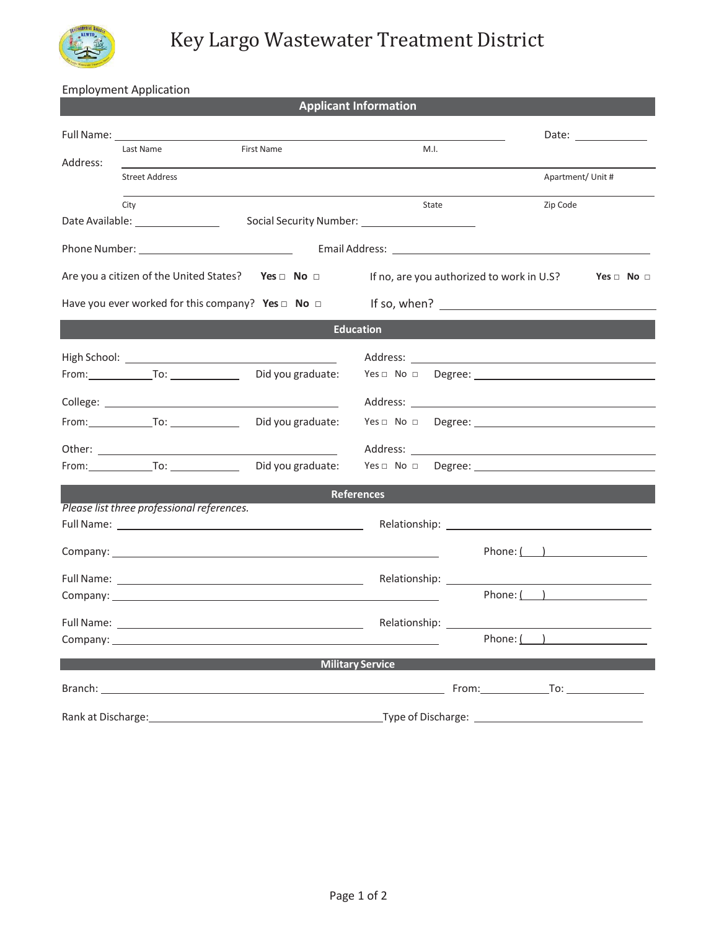

Employment Application

|                                                                                 |                                                |                                                                                                                      | <b>Applicant Information</b>                                                               |                        |
|---------------------------------------------------------------------------------|------------------------------------------------|----------------------------------------------------------------------------------------------------------------------|--------------------------------------------------------------------------------------------|------------------------|
|                                                                                 | Last Name                                      | <b>First Name</b>                                                                                                    | M.I.                                                                                       |                        |
| Address:                                                                        | <b>Street Address</b>                          |                                                                                                                      |                                                                                            | Apartment/ Unit #      |
|                                                                                 | City<br>Date Available: ________________       |                                                                                                                      | State                                                                                      | Zip Code               |
|                                                                                 |                                                |                                                                                                                      |                                                                                            |                        |
| Are you a citizen of the United States? Yes $\Box$ No $\Box$                    |                                                |                                                                                                                      | If no, are you authorized to work in U.S?                                                  | $Yes \Box No \Box$     |
| Have you ever worked for this company? Yes $\Box$ No $\Box$ If so, when? $\Box$ |                                                |                                                                                                                      |                                                                                            |                        |
|                                                                                 |                                                |                                                                                                                      | <b>Education</b>                                                                           |                        |
|                                                                                 | From: $\qquad \qquad \text{To:} \qquad \qquad$ | Did you graduate:                                                                                                    |                                                                                            |                        |
|                                                                                 |                                                |                                                                                                                      |                                                                                            |                        |
|                                                                                 |                                                | Did you graduate:                                                                                                    |                                                                                            |                        |
|                                                                                 | From: To: To: To:                              | Did you graduate:                                                                                                    | $Yes \Box \ No \Box \ Degree:$                                                             |                        |
|                                                                                 | Please list three professional references.     |                                                                                                                      | <b>References</b>                                                                          |                        |
|                                                                                 |                                                |                                                                                                                      |                                                                                            | Phone: $\qquad \qquad$ |
|                                                                                 |                                                |                                                                                                                      |                                                                                            | Phone: $( )$           |
| Full Name:                                                                      |                                                | Company: company:                                                                                                    | Relationship:                                                                              | Phone: ( )             |
|                                                                                 |                                                |                                                                                                                      | <b>Military Service</b>                                                                    |                        |
|                                                                                 |                                                |                                                                                                                      |                                                                                            |                        |
| Rank at Discharge:                                                              |                                                | <u> 1980 - Johann Barn, mars ann an t-Amhain Aonaich an t-Aonaich an t-Aonaich ann an t-Aonaich ann an t-Aonaich</u> | $\begin{minipage}{.4\linewidth} \textbf{Type of Discharge:} \end{minipage} \vspace{0.1in}$ |                        |